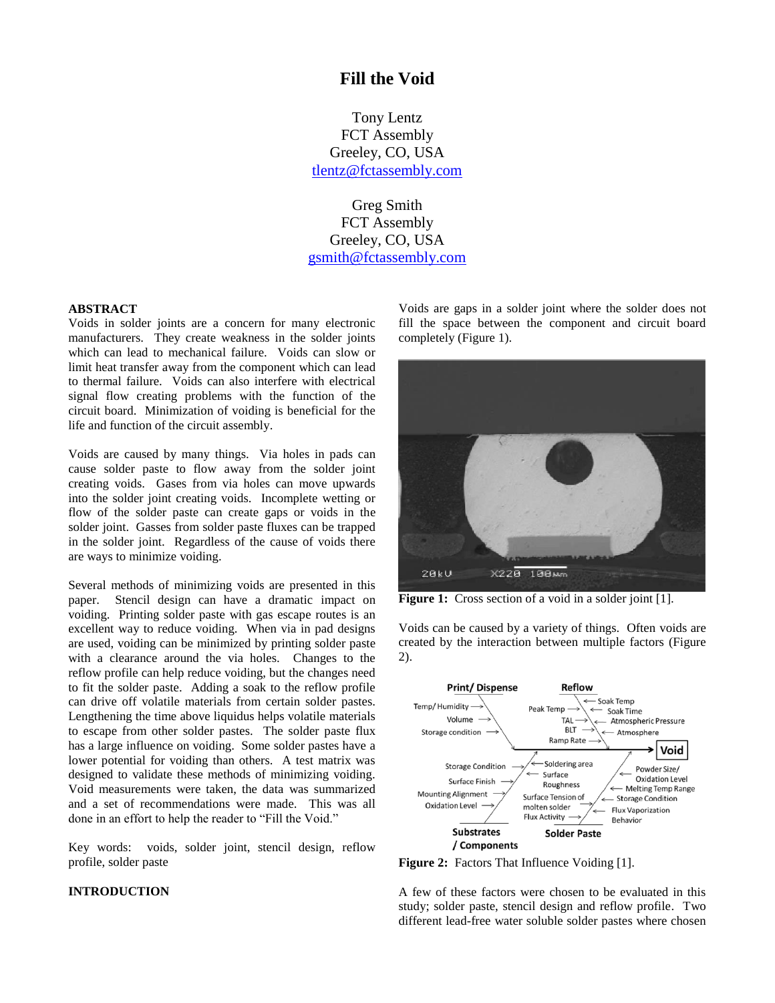# **Fill the Void**

Tony Lentz FCT Assembly Greeley, CO, USA [tlentz@fctassembly.com](mailto:tlentz@fctassembly.com)

Greg Smith FCT Assembly Greeley, CO, USA [gsmith@fctassembly.com](mailto:gsmith@fctassembly.com)

# **ABSTRACT**

Voids in solder joints are a concern for many electronic manufacturers. They create weakness in the solder joints which can lead to mechanical failure. Voids can slow or limit heat transfer away from the component which can lead to thermal failure. Voids can also interfere with electrical signal flow creating problems with the function of the circuit board. Minimization of voiding is beneficial for the life and function of the circuit assembly.

Voids are caused by many things. Via holes in pads can cause solder paste to flow away from the solder joint creating voids. Gases from via holes can move upwards into the solder joint creating voids. Incomplete wetting or flow of the solder paste can create gaps or voids in the solder joint. Gasses from solder paste fluxes can be trapped in the solder joint. Regardless of the cause of voids there are ways to minimize voiding.

Several methods of minimizing voids are presented in this paper. Stencil design can have a dramatic impact on voiding. Printing solder paste with gas escape routes is an excellent way to reduce voiding. When via in pad designs are used, voiding can be minimized by printing solder paste with a clearance around the via holes. Changes to the reflow profile can help reduce voiding, but the changes need to fit the solder paste. Adding a soak to the reflow profile can drive off volatile materials from certain solder pastes. Lengthening the time above liquidus helps volatile materials to escape from other solder pastes. The solder paste flux has a large influence on voiding. Some solder pastes have a lower potential for voiding than others. A test matrix was designed to validate these methods of minimizing voiding. Void measurements were taken, the data was summarized and a set of recommendations were made. This was all done in an effort to help the reader to "Fill the Void."

Key words: voids, solder joint, stencil design, reflow profile, solder paste

# **INTRODUCTION**

Voids are gaps in a solder joint where the solder does not fill the space between the component and circuit board completely (Figure 1).



Figure 1: Cross section of a void in a solder joint [1].

Voids can be caused by a variety of things. Often voids are created by the interaction between multiple factors (Figure 2).



**Figure 2:** Factors That Influence Voiding [1].

A few of these factors were chosen to be evaluated in this study; solder paste, stencil design and reflow profile. Two different lead-free water soluble solder pastes where chosen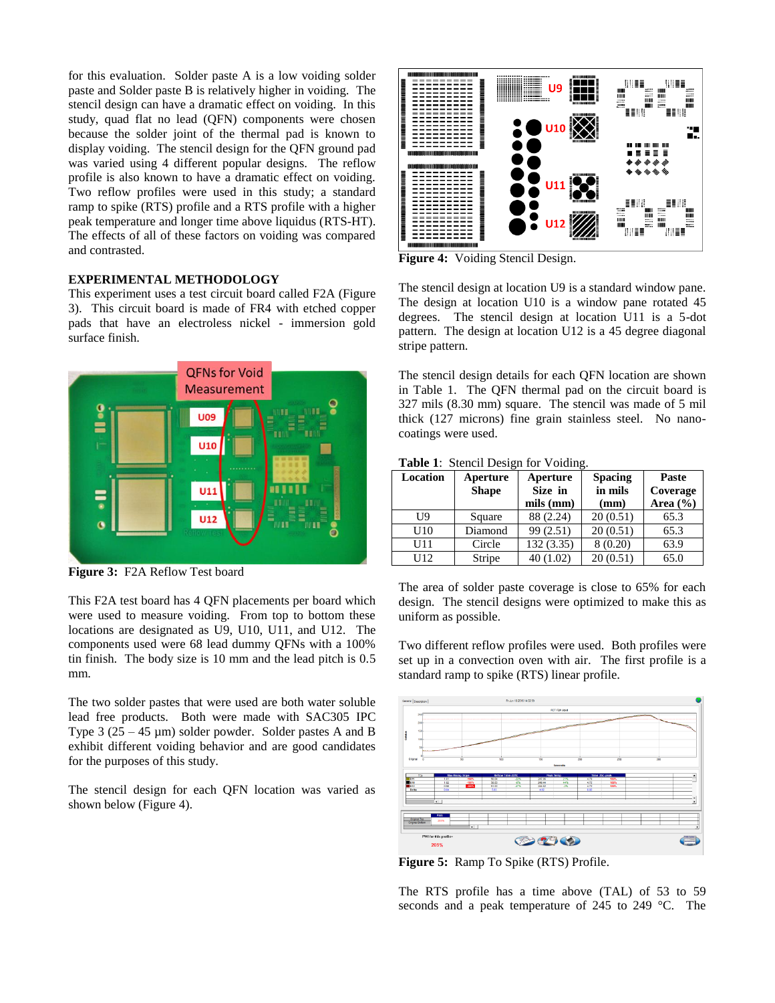for this evaluation. Solder paste A is a low voiding solder paste and Solder paste B is relatively higher in voiding. The stencil design can have a dramatic effect on voiding. In this study, quad flat no lead (QFN) components were chosen because the solder joint of the thermal pad is known to display voiding. The stencil design for the QFN ground pad was varied using 4 different popular designs. The reflow profile is also known to have a dramatic effect on voiding. Two reflow profiles were used in this study; a standard ramp to spike (RTS) profile and a RTS profile with a higher peak temperature and longer time above liquidus (RTS-HT). The effects of all of these factors on voiding was compared and contrasted.

# **EXPERIMENTAL METHODOLOGY**

This experiment uses a test circuit board called F2A (Figure 3). This circuit board is made of FR4 with etched copper pads that have an electroless nickel - immersion gold surface finish.



**Figure 3:** F2A Reflow Test board

This F2A test board has 4 QFN placements per board which were used to measure voiding. From top to bottom these locations are designated as U9, U10, U11, and U12. The components used were 68 lead dummy QFNs with a 100% tin finish. The body size is 10 mm and the lead pitch is 0.5 mm.

The two solder pastes that were used are both water soluble lead free products. Both were made with SAC305 IPC Type  $3(25 - 45 \mu m)$  solder powder. Solder pastes A and B exhibit different voiding behavior and are good candidates for the purposes of this study.

The stencil design for each QFN location was varied as shown below (Figure 4).



**Figure 4:** Voiding Stencil Design.

The stencil design at location U9 is a standard window pane. The design at location U10 is a window pane rotated 45 degrees. The stencil design at location U11 is a 5-dot pattern. The design at location U12 is a 45 degree diagonal stripe pattern.

The stencil design details for each QFN location are shown in Table 1. The QFN thermal pad on the circuit board is 327 mils (8.30 mm) square. The stencil was made of 5 mil thick (127 microns) fine grain stainless steel. No nanocoatings were used.

**Table 1**: Stencil Design for Voiding.

| Location | Aperture     | Aperture        | <b>Spacing</b> | Paste        |
|----------|--------------|-----------------|----------------|--------------|
|          | <b>Shape</b> | Size in         | in mils        | Coverage     |
|          |              | $mils$ ( $mm$ ) | (mm)           | Area $(\% )$ |
| U9       | Square       | 88 (2.24)       | 20(0.51)       | 65.3         |
| U10      | Diamond      | 99 (2.51)       | 20(0.51)       | 65.3         |
| U11      | Circle       | 132(3.35)       | 8(0.20)        | 63.9         |
| U12      | Stripe       | 40(1.02)        | 20(0.51)       | 65.0         |

The area of solder paste coverage is close to 65% for each design. The stencil designs were optimized to make this as uniform as possible.

Two different reflow profiles were used. Both profiles were set up in a convection oven with air. The first profile is a standard ramp to spike (RTS) linear profile.



**Figure 5:** Ramp To Spike (RTS) Profile.

The RTS profile has a time above (TAL) of 53 to 59 seconds and a peak temperature of 245 to 249 °C. The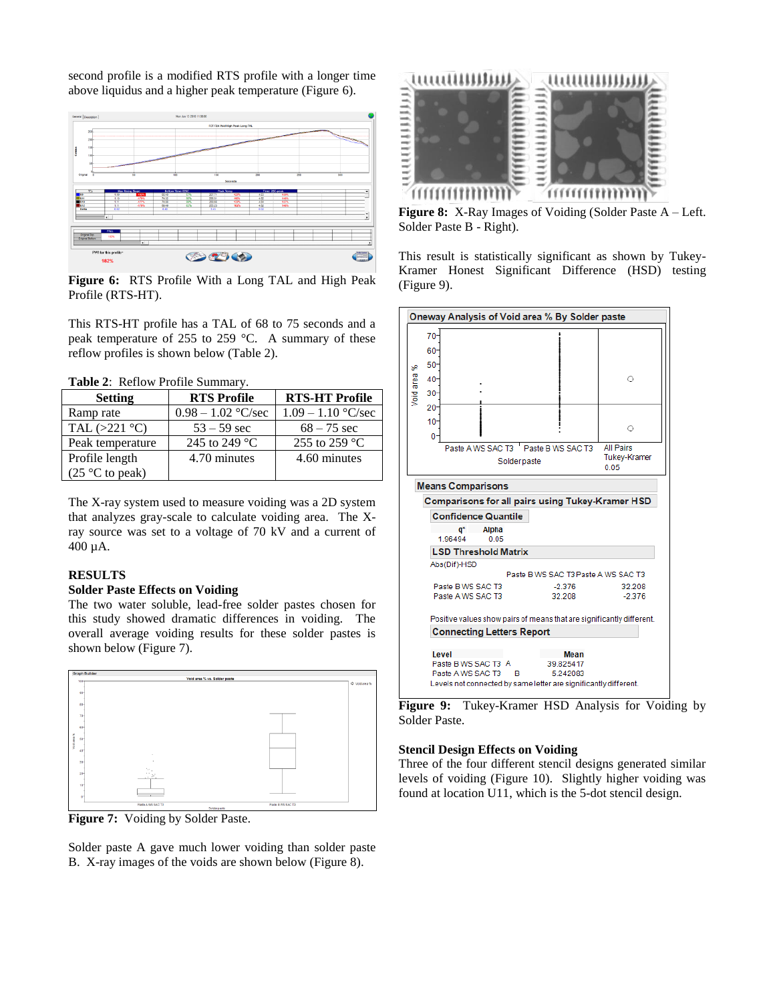second profile is a modified RTS profile with a longer time above liquidus and a higher peak temperature (Figure 6).



**Figure 6:** RTS Profile With a Long TAL and High Peak Profile (RTS-HT).

This RTS-HT profile has a TAL of 68 to 75 seconds and a peak temperature of 255 to 259 °C. A summary of these reflow profiles is shown below (Table 2).

| <b>Table 2:</b> Reflow Profile Summary. |                      |                       |  |  |
|-----------------------------------------|----------------------|-----------------------|--|--|
| <b>Setting</b>                          | <b>RTS Profile</b>   | <b>RTS-HT Profile</b> |  |  |
| Ramp rate                               | $0.98 - 1.02$ °C/sec | $1.09 - 1.10$ °C/sec  |  |  |
| TAL $(>221$ °C)                         | $53 - 59$ sec        | $68 - 75$ sec         |  |  |
| Peak temperature                        | 245 to 249 °C        | 255 to 259 °C         |  |  |
| Profile length                          | 4.70 minutes         | 4.60 minutes          |  |  |
| $(25 \degree C)$ to peak)               |                      |                       |  |  |

**Table 2**: Reflow Profile Summary.

The X-ray system used to measure voiding was a 2D system that analyzes gray-scale to calculate voiding area. The Xray source was set to a voltage of 70 kV and a current of 400 µA.

### **RESULTS**

### **Solder Paste Effects on Voiding**

The two water soluble, lead-free solder pastes chosen for this study showed dramatic differences in voiding. The overall average voiding results for these solder pastes is shown below (Figure 7).



**Figure 7:** Voiding by Solder Paste.

Solder paste A gave much lower voiding than solder paste B. X-ray images of the voids are shown below (Figure 8).



**Figure 8:** X-Ray Images of Voiding (Solder Paste A – Left. Solder Paste B - Right).

This result is statistically significant as shown by Tukey-Kramer Honest Significant Difference (HSD) testing (Figure 9).



**Figure 9:** Tukey-Kramer HSD Analysis for Voiding by Solder Paste.

# **Stencil Design Effects on Voiding**

Three of the four different stencil designs generated similar levels of voiding (Figure 10). Slightly higher voiding was found at location U11, which is the 5-dot stencil design.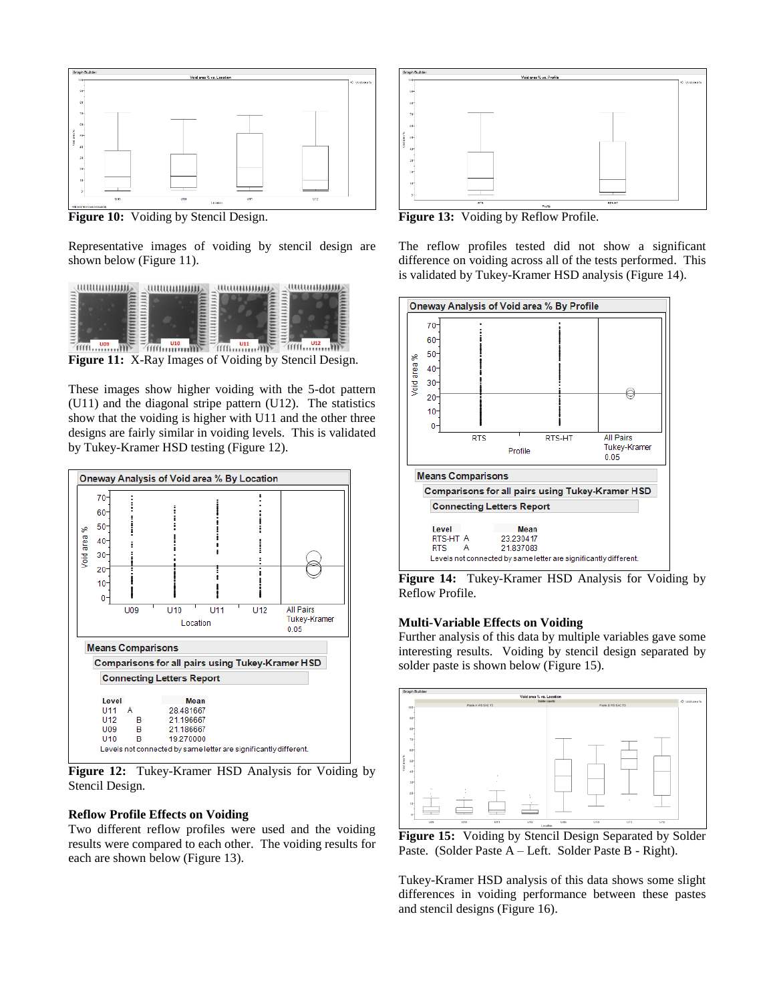

**Figure 10:** Voiding by Stencil Design.

Representative images of voiding by stencil design are shown below (Figure 11).



These images show higher voiding with the 5-dot pattern (U11) and the diagonal stripe pattern (U12). The statistics show that the voiding is higher with U11 and the other three designs are fairly similar in voiding levels. This is validated by Tukey-Kramer HSD testing (Figure 12).



**Figure 12:** Tukey-Kramer HSD Analysis for Voiding by Stencil Design.

## **Reflow Profile Effects on Voiding**

Two different reflow profiles were used and the voiding results were compared to each other. The voiding results for each are shown below (Figure 13).



**Figure 13:** Voiding by Reflow Profile.

The reflow profiles tested did not show a significant difference on voiding across all of the tests performed. This is validated by Tukey-Kramer HSD analysis (Figure 14).



**Figure 14:** Tukey-Kramer HSD Analysis for Voiding by Reflow Profile.

#### **Multi-Variable Effects on Voiding**

Further analysis of this data by multiple variables gave some interesting results. Voiding by stencil design separated by solder paste is shown below (Figure 15).



**Figure 15:** Voiding by Stencil Design Separated by Solder Paste. (Solder Paste A – Left. Solder Paste B - Right).

Tukey-Kramer HSD analysis of this data shows some slight differences in voiding performance between these pastes and stencil designs (Figure 16).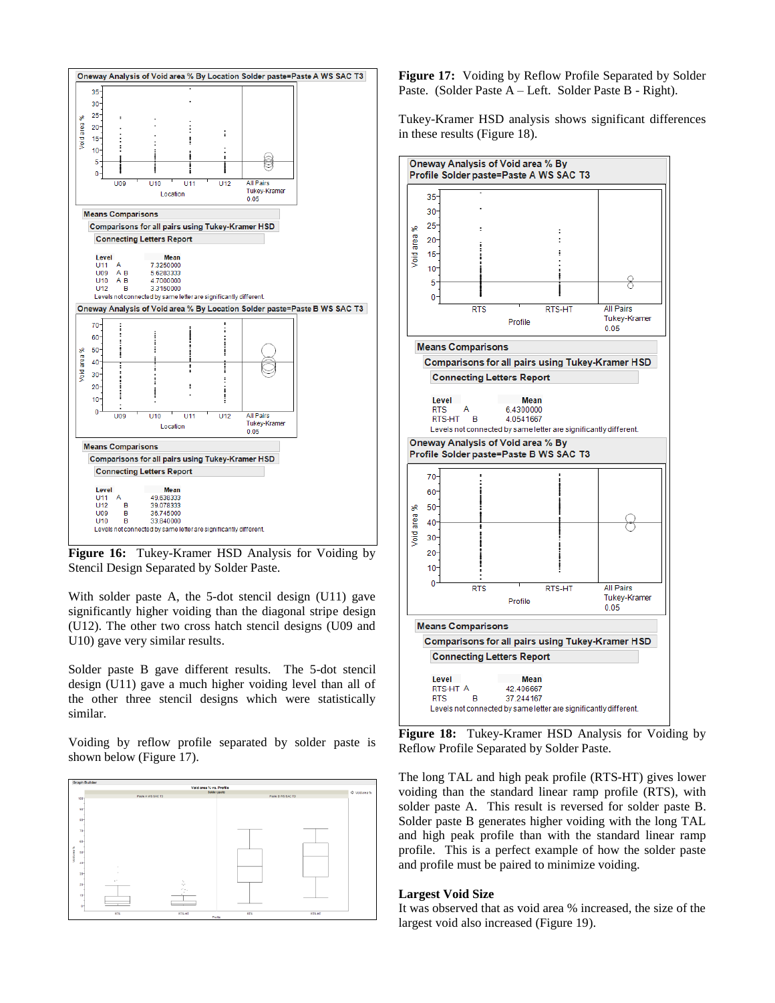

**Figure 16:** Tukey-Kramer HSD Analysis for Voiding by Stencil Design Separated by Solder Paste.

With solder paste A, the 5-dot stencil design (U11) gave significantly higher voiding than the diagonal stripe design (U12). The other two cross hatch stencil designs (U09 and U10) gave very similar results.

Solder paste B gave different results. The 5-dot stencil design (U11) gave a much higher voiding level than all of the other three stencil designs which were statistically similar.

Voiding by reflow profile separated by solder paste is shown below (Figure 17).



**Figure 17:** Voiding by Reflow Profile Separated by Solder Paste. (Solder Paste A – Left. Solder Paste B - Right).

Tukey-Kramer HSD analysis shows significant differences in these results (Figure 18).



**Figure 18:** Tukey-Kramer HSD Analysis for Voiding by Reflow Profile Separated by Solder Paste.

The long TAL and high peak profile (RTS-HT) gives lower voiding than the standard linear ramp profile (RTS), with solder paste A. This result is reversed for solder paste B. Solder paste B generates higher voiding with the long TAL and high peak profile than with the standard linear ramp profile. This is a perfect example of how the solder paste and profile must be paired to minimize voiding.

### **Largest Void Size**

It was observed that as void area % increased, the size of the largest void also increased (Figure 19).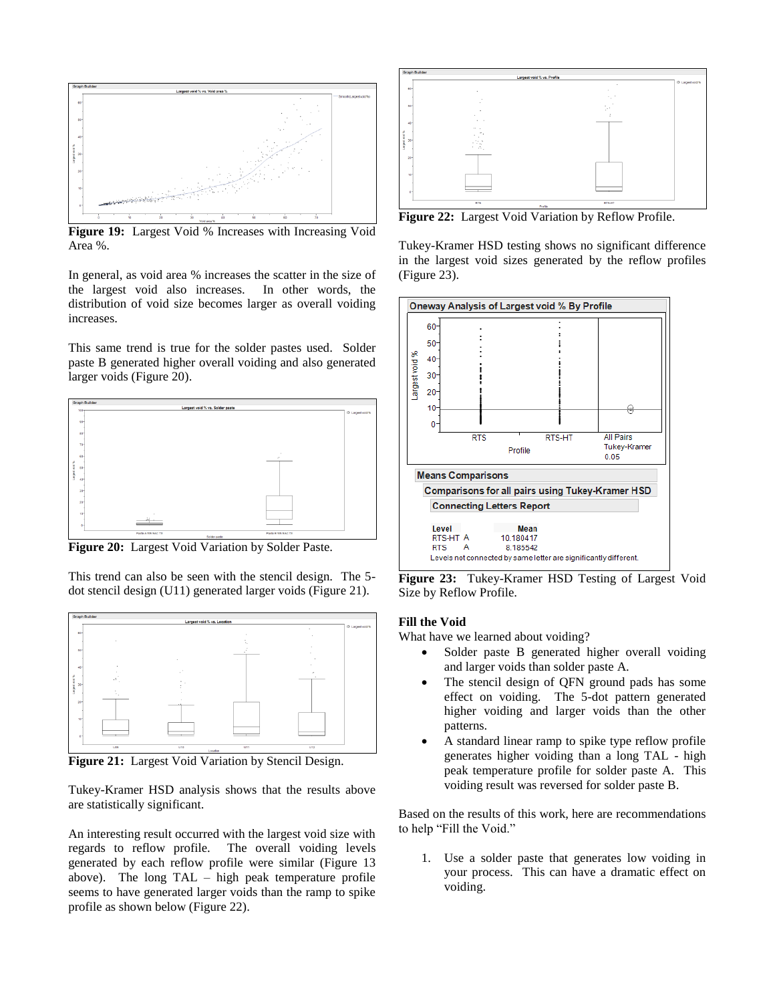

**Figure 19:** Largest Void % Increases with Increasing Void Area %.

In general, as void area % increases the scatter in the size of the largest void also increases. In other words, the distribution of void size becomes larger as overall voiding increases.

This same trend is true for the solder pastes used. Solder paste B generated higher overall voiding and also generated larger voids (Figure 20).



**Figure 20:** Largest Void Variation by Solder Paste.

This trend can also be seen with the stencil design. The 5 dot stencil design (U11) generated larger voids (Figure 21).



**Figure 21:** Largest Void Variation by Stencil Design.

Tukey-Kramer HSD analysis shows that the results above are statistically significant.

An interesting result occurred with the largest void size with regards to reflow profile. The overall voiding levels generated by each reflow profile were similar (Figure 13 above). The long TAL – high peak temperature profile seems to have generated larger voids than the ramp to spike profile as shown below (Figure 22).



**Figure 22:** Largest Void Variation by Reflow Profile.

Tukey-Kramer HSD testing shows no significant difference in the largest void sizes generated by the reflow profiles (Figure 23).



**Figure 23:** Tukey-Kramer HSD Testing of Largest Void Size by Reflow Profile.

# **Fill the Void**

What have we learned about voiding?

- Solder paste B generated higher overall voiding and larger voids than solder paste A.
- The stencil design of QFN ground pads has some effect on voiding. The 5-dot pattern generated higher voiding and larger voids than the other patterns.
- A standard linear ramp to spike type reflow profile generates higher voiding than a long TAL - high peak temperature profile for solder paste A. This voiding result was reversed for solder paste B.

Based on the results of this work, here are recommendations to help "Fill the Void."

1. Use a solder paste that generates low voiding in your process. This can have a dramatic effect on voiding.